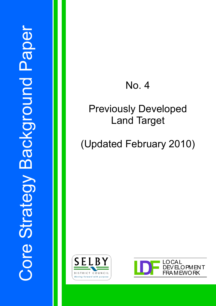## No. 4

### Previously Developed Land Target

# (Updated February 2010)



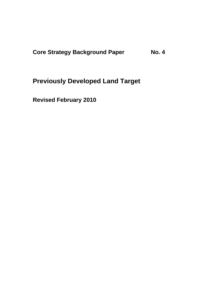**Core Strategy Background Paper No. 4** 

**Previously Developed Land Target** 

**Revised February 2010**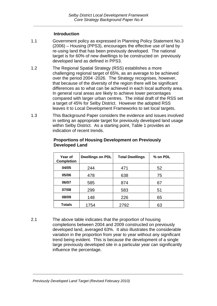#### **Introduction**

- 1.1 Government policy as expressed in Planning Policy Statement No.3 (2006) – Housing (PPS3), encourages the effective use of land by re-using land that has been previously developed. The national target is for 60% of new dwellings to be constructed on previously developed land as defined in PPS3.
- 1.2 The Regional Spatial Strategy (RSS) establishes a more challenging regional target of 65%, as an average to be achieved over the period 2004 -2026. The Strategy recognises, however, that because of the diversity of the region there will be significant differences as to what can be achieved in each local authority area. In general rural areas are likely to achieve lower percentages compared with larger urban centres. The initial draft of the RSS set a target of 45% for Selby District. However the adopted RSS leaves it to Local Development Frameworks to set local targets.
- 1.3 This Background Paper considers the evidence and issues involved in setting an appropriate target for previously developed land usage within Selby District. As a starting point, Table 1 provides an indication of recent trends.

| Year of<br><b>Completion</b> | <b>Dwellings on PDL</b> | <b>Total Dwellings</b> | % on PDL |
|------------------------------|-------------------------|------------------------|----------|
| 04/05                        | 244                     | 471                    | 52       |
| 05/06                        | 478                     | 638                    | 75       |
| 06/07                        | 585                     | 874                    | 67       |
| 07/08                        | 299                     | 583                    | 51       |
| 08/09                        | 148                     | 226                    | 65       |
| <b>Totals</b>                | 1754                    | 2792                   | 63       |

#### **Proportions of Housing Development on Previously Developed Land**

2.1 The above table indicates that the proportion of housing completions between 2004 and 2009 constructed on previously developed land, averaged 63%. It also illustrates the considerable variation in the proportion from year to year without any significant trend being evident. This is because the development of a single large previously developed site in a particular year can significantly influence the percentage.

*\_\_\_\_\_\_\_\_\_\_\_\_\_\_\_\_\_\_\_\_\_\_\_\_\_\_\_\_\_\_\_\_\_\_\_\_\_\_\_\_\_\_\_\_\_\_\_\_\_\_\_\_\_\_\_\_\_\_\_\_\_\_\_\_\_\_\_\_\_\_\_\_\_\_\_* 

*Previously Developed Land Target (Revised February 2010)*